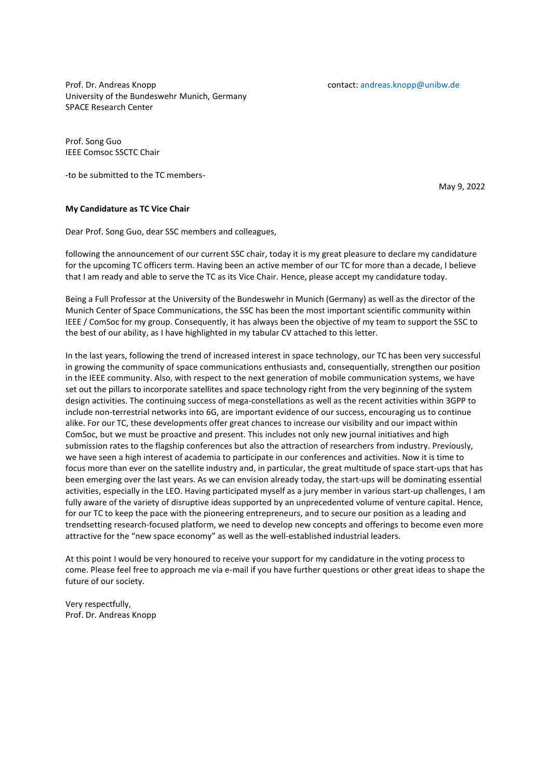Prof. Dr. Andreas Knopp contact: andreas.knopp@unibw.de University of the Bundeswehr Munich, Germany SPACE Research Center

Prof. Song Guo IEEE Comsoc SSCTC Chair

-to be submitted to the TC members-

May 9, 2022

#### **My Candidature as TC Vice Chair**

Dear Prof. Song Guo, dear SSC members and colleagues,

following the announcement of our current SSC chair, today it is my great pleasure to declare my candidature for the upcoming TC officers term. Having been an active member of our TC for more than a decade, I believe that I am ready and able to serve the TC as its Vice Chair. Hence, please accept my candidature today.

Being a Full Professor at the University of the Bundeswehr in Munich (Germany) as well as the director of the Munich Center of Space Communications, the SSC has been the most important scientific community within IEEE / ComSoc for my group. Consequently, it has always been the objective of my team to support the SSC to the best of our ability, as I have highlighted in my tabular CV attached to this letter.

In the last years, following the trend of increased interest in space technology, our TC has been very successful in growing the community of space communications enthusiasts and, consequentially, strengthen our position in the IEEE community. Also, with respect to the next generation of mobile communication systems, we have set out the pillars to incorporate satellites and space technology right from the very beginning of the system design activities. The continuing success of mega-constellations as well as the recent activities within 3GPP to include non-terrestrial networks into 6G, are important evidence of our success, encouraging us to continue alike. For our TC, these developments offer great chances to increase our visibility and our impact within ComSoc, but we must be proactive and present. This includes not only new journal initiatives and high submission rates to the flagship conferences but also the attraction of researchers from industry. Previously, we have seen a high interest of academia to participate in our conferences and activities. Now it is time to focus more than ever on the satellite industry and, in particular, the great multitude of space start-ups that has been emerging over the last years. As we can envision already today, the start-ups will be dominating essential activities, especially in the LEO. Having participated myself as a jury member in various start-up challenges, I am fully aware of the variety of disruptive ideas supported by an unprecedented volume of venture capital. Hence, for our TC to keep the pace with the pioneering entrepreneurs, and to secure our position as a leading and trendsetting research-focused platform, we need to develop new concepts and offerings to become even more attractive for the "new space economy" as well as the well-established industrial leaders.

At this point I would be very honoured to receive your support for my candidature in the voting process to come. Please feel free to approach me via e-mail if you have further questions or other great ideas to shape the future of our society.

Very respectfully, Prof. Dr. Andreas Knopp